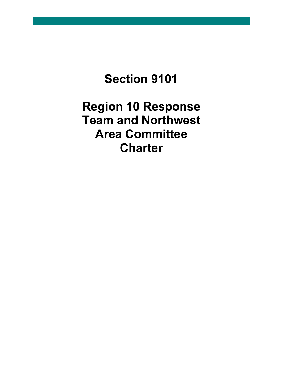# **Section 9101**

**Region 10 Response Team and Northwest Area Committee Charter**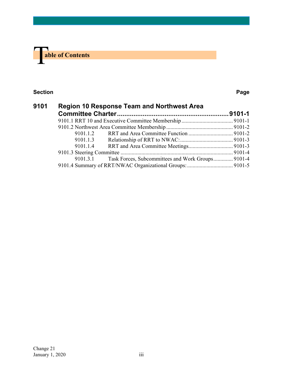

#### **Section Page**

| 9101 | <b>Region 10 Response Team and Northwest Area</b> |                                                   |  |
|------|---------------------------------------------------|---------------------------------------------------|--|
|      |                                                   |                                                   |  |
|      |                                                   |                                                   |  |
|      |                                                   |                                                   |  |
|      |                                                   |                                                   |  |
|      | 9101.1.3                                          |                                                   |  |
|      | 9101.1.4                                          |                                                   |  |
|      |                                                   |                                                   |  |
|      | 9101.3.1                                          | Task Forces, Subcommittees and Work Groups 9101-4 |  |
|      |                                                   |                                                   |  |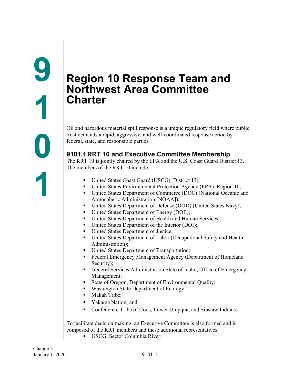## <span id="page-2-1"></span><span id="page-2-0"></span>**Region 10 Response Team and Northwest Area Committee Charter**

Oil and hazardous material spill response is a unique regulatory field where public trust demands a rapid, aggressive, and well-coordinated response action by federal, state, and responsible parties.

## <span id="page-2-2"></span>**9101.1 RRT 10 and Executive Committee Membership**

The RRT 10 is jointly chaired by the EPA and the U.S. Coast Guard District 13. The members of the RRT 10 include:

- United States Coast Guard (USCG), District 13;
- United States Environmental Protection Agency (EPA), Region 10;
- United States Department of Commerce (DOC) (National Oceanic and Atmospheric Administration [NOAA]);
- United States Department of Defense (DOD) (United States Navy);
- United States Department of Energy (DOE);
- United States Department of Health and Human Services;
- United States Department of the Interior (DOI);
- United States Department of Justice;
- United States Department of Labor (Occupational Safety and Health Administration);
- United States Department of Transportation;
- Federal Emergency Management Agency (Department of Homeland Security);
- General Services Administration State of Idaho, Office of Emergency Management;
- State of Oregon, Department of Environmental Quality;
- Washington State Department of Ecology;
- Makah Tribe;
- Yakama Nation; and
- Confederate Tribe of Coos, Lower Umpqua, and Siuslaw Indians.

To facilitate decision making, an Executive Committee is also formed and is composed of the RRT members and these additional representatives:

**USCG, Sector Columbia River;**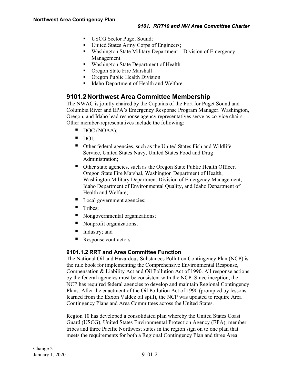- USCG Sector Puget Sound;
- United States Army Corps of Engineers;
- Washington State Military Department Division of Emergency Management
- **Washington State Department of Health**
- Oregon State Fire Marshall
- Oregon Public Health Division
- Idaho Department of Health and Welfare

## <span id="page-3-0"></span>**9101.2 Northwest Area Committee Membership**

The NWAC is jointly chaired by the Captains of the Port for Puget Sound and Columbia River and EPA's Emergency Response Program Manager. Washington, Oregon, and Idaho lead response agency representatives serve as co-vice chairs. Other member-representatives include the following:

- DOC (NOAA);
- DOI;
- Other federal agencies, such as the United States Fish and Wildlife Service, United States Navy, United States Food and Drug Administration;
- Other state agencies, such as the Oregon State Public Health Officer, Oregon State Fire Marshal, Washington Department of Health, Washington Military Department Division of Emergency Management, Idaho Department of Environmental Quality, and Idaho Department of Health and Welfare;
- Local government agencies;
- **Tribes**;
- Nongovernmental organizations;
- Nonprofit organizations;
- Industry; and
- Response contractors.

#### <span id="page-3-1"></span>**9101.1.2 RRT and Area Committee Function**

The National Oil and Hazardous Substances Pollution Contingency Plan (NCP) is the rule book for implementing the Comprehensive Environmental Response, Compensation & Liability Act and Oil Pollution Act of 1990. All response actions by the federal agencies must be consistent with the NCP. Since inception, the NCP has required federal agencies to develop and maintain Regional Contingency Plans. After the enactment of the Oil Pollution Act of 1990 (prompted by lessons learned from the Exxon Valdez oil spill), the NCP was updated to require Area Contingency Plans and Area Committees across the United States.

Region 10 has developed a consolidated plan whereby the United States Coast Guard (USCG), United States Environmental Protection Agency (EPA), member tribes and three Pacific Northwest states in the region sign on to one plan that meets the requirements for both a Regional Contingency Plan and three Area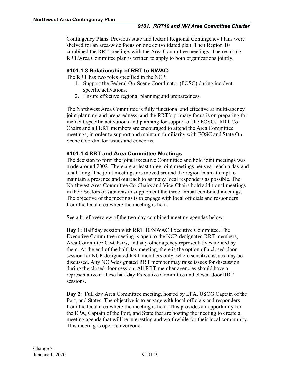Contingency Plans. Previous state and federal Regional Contingency Plans were shelved for an area-wide focus on one consolidated plan. Then Region 10 combined the RRT meetings with the Area Committee meetings. The resulting RRT/Area Committee plan is written to apply to both organizations jointly.

#### <span id="page-4-0"></span>**9101.1.3 Relationship of RRT to NWAC:**

The RRT has two roles specified in the NCP:

- 1. Support the Federal On-Scene Coordinator (FOSC) during incidentspecific activations.
- 2. Ensure effective regional planning and preparedness.

The Northwest Area Committee is fully functional and effective at multi-agency joint planning and preparedness, and the RRT's primary focus is on preparing for incident-specific activations and planning for support of the FOSCs. RRT Co-Chairs and all RRT members are encouraged to attend the Area Committee meetings, in order to support and maintain familiarity with FOSC and State On-Scene Coordinator issues and concerns.

#### <span id="page-4-1"></span>**9101.1.4 RRT and Area Committee Meetings**

The decision to form the joint Executive Committee and hold joint meetings was made around 2002. There are at least three joint meetings per year, each a day and a half long. The joint meetings are moved around the region in an attempt to maintain a presence and outreach to as many local responders as possible. The Northwest Area Committee Co-Chairs and Vice-Chairs hold additional meetings in their Sectors or subareas to supplement the three annual combined meetings. The objective of the meetings is to engage with local officials and responders from the local area where the meeting is held.

See a brief overview of the two-day combined meeting agendas below:

**Day 1:** Half day session with RRT 10/NWAC Executive Committee. The Executive Committee meeting is open to the NCP-designated RRT members, Area Committee Co-Chairs, and any other agency representatives invited by them. At the end of the half-day meeting, there is the option of a closed-door session for NCP-designated RRT members only, where sensitive issues may be discussed. Any NCP-designated RRT member may raise issues for discussion during the closed-door session. All RRT member agencies should have a representative at these half day Executive Committee and closed-door RRT sessions.

**Day 2:** Full day Area Committee meeting, hosted by EPA, USCG Captain of the Port, and States. The objective is to engage with local officials and responders from the local area where the meeting is held. This provides an opportunity for the EPA, Captain of the Port, and State that are hosting the meeting to create a meeting agenda that will be interesting and worthwhile for their local community. This meeting is open to everyone.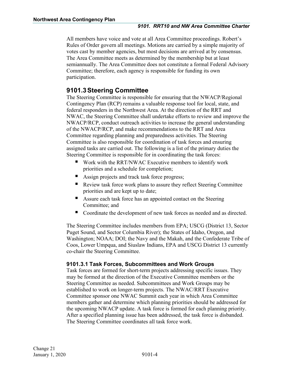All members have voice and vote at all Area Committee proceedings. Robert's Rules of Order govern all meetings. Motions are carried by a simple majority of votes cast by member agencies, but most decisions are arrived at by consensus. The Area Committee meets as determined by the membership but at least semiannually. The Area Committee does not constitute a formal Federal Advisory Committee; therefore, each agency is responsible for funding its own participation.

## <span id="page-5-0"></span>**9101.3Steering Committee**

The Steering Committee is responsible for ensuring that the NWACP/Regional Contingency Plan (RCP) remains a valuable response tool for local, state, and federal responders in the Northwest Area. At the direction of the RRT and NWAC, the Steering Committee shall undertake efforts to review and improve the NWACP/RCP, conduct outreach activities to increase the general understanding of the NWACP/RCP, and make recommendations to the RRT and Area Committee regarding planning and preparedness activities. The Steering Committee is also responsible for coordination of task forces and ensuring assigned tasks are carried out. The following is a list of the primary duties the Steering Committee is responsible for in coordinating the task forces:

- Work with the RRT/NWAC Executive members to identify work priorities and a schedule for completion;
- Assign projects and track task force progress;
- Review task force work plans to assure they reflect Steering Committee priorities and are kept up to date;
- Assure each task force has an appointed contact on the Steering Committee; and
- Coordinate the development of new task forces as needed and as directed.

The Steering Committee includes members from EPA; USCG (District 13, Sector Puget Sound, and Sector Columbia River); the States of Idaho, Oregon, and Washington; NOAA; DOI; the Navy and the Makah, and the Confederate Tribe of Coos, Lower Umpqua, and Siuslaw Indians, EPA and USCG District 13 currently co-chair the Steering Committee.

#### <span id="page-5-1"></span>**9101.3.1 Task Forces, Subcommittees and Work Groups**

Task forces are formed for short-term projects addressing specific issues. They may be formed at the direction of the Executive Committee members or the Steering Committee as needed. Subcommittees and Work Groups may be established to work on longer-term projects. The NWAC/RRT Executive Committee sponsor one NWAC Summit each year in which Area Committee members gather and determine which planning priorities should be addressed for the upcoming NWACP update. A task force is formed for each planning priority. After a specified planning issue has been addressed, the task force is disbanded. The Steering Committee coordinates all task force work.